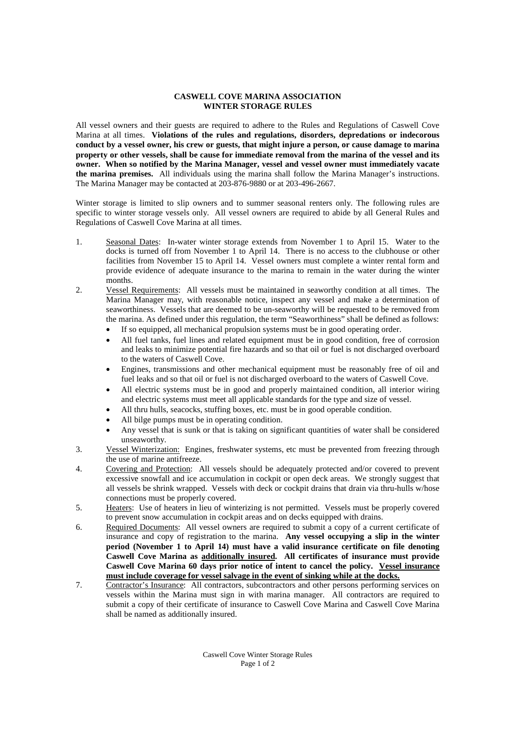## **CASWELL COVE MARINA ASSOCIATION WINTER STORAGE RULES**

All vessel owners and their guests are required to adhere to the Rules and Regulations of Caswell Cove Marina at all times. **Violations of the rules and regulations, disorders, depredations or indecorous conduct by a vessel owner, his crew or guests, that might injure a person, or cause damage to marina property or other vessels, shall be cause for immediate removal from the marina of the vessel and its owner. When so notified by the Marina Manager, vessel and vessel owner must immediately vacate the marina premises.** All individuals using the marina shall follow the Marina Manager's instructions. The Marina Manager may be contacted at 203-876-9880 or at 203-496-2667.

Winter storage is limited to slip owners and to summer seasonal renters only. The following rules are specific to winter storage vessels only. All vessel owners are required to abide by all General Rules and Regulations of Caswell Cove Marina at all times.

- 1. Seasonal Dates: In-water winter storage extends from November 1 to April 15. Water to the docks is turned off from November 1 to April 14. There is no access to the clubhouse or other facilities from November 15 to April 14. Vessel owners must complete a winter rental form and provide evidence of adequate insurance to the marina to remain in the water during the winter months.
- 2. Vessel Requirements: All vessels must be maintained in seaworthy condition at all times. The Marina Manager may, with reasonable notice, inspect any vessel and make a determination of seaworthiness. Vessels that are deemed to be un-seaworthy will be requested to be removed from the marina. As defined under this regulation, the term "Seaworthiness" shall be defined as follows:
	- If so equipped, all mechanical propulsion systems must be in good operating order.
	- All fuel tanks, fuel lines and related equipment must be in good condition, free of corrosion and leaks to minimize potential fire hazards and so that oil or fuel is not discharged overboard to the waters of Caswell Cove.
	- Engines, transmissions and other mechanical equipment must be reasonably free of oil and fuel leaks and so that oil or fuel is not discharged overboard to the waters of Caswell Cove.
	- All electric systems must be in good and properly maintained condition, all interior wiring and electric systems must meet all applicable standards for the type and size of vessel.
	- All thru hulls, seacocks, stuffing boxes, etc. must be in good operable condition.
	- All bilge pumps must be in operating condition.
	- Any vessel that is sunk or that is taking on significant quantities of water shall be considered unseaworthy.
- 3. Vessel Winterization: Engines, freshwater systems, etc must be prevented from freezing through the use of marine antifreeze.
- 4. Covering and Protection: All vessels should be adequately protected and/or covered to prevent excessive snowfall and ice accumulation in cockpit or open deck areas. We strongly suggest that all vessels be shrink wrapped. Vessels with deck or cockpit drains that drain via thru-hulls w/hose connections must be properly covered.
- 5. Heaters: Use of heaters in lieu of winterizing is not permitted. Vessels must be properly covered to prevent snow accumulation in cockpit areas and on decks equipped with drains.
- 6. Required Documents: All vessel owners are required to submit a copy of a current certificate of insurance and copy of registration to the marina. **Any vessel occupying a slip in the winter period (November 1 to April 14) must have a valid insurance certificate on file denoting Caswell Cove Marina as additionally insured. All certificates of insurance must provide Caswell Cove Marina 60 days prior notice of intent to cancel the policy. Vessel insurance must include coverage for vessel salvage in the event of sinking while at the docks.**
- 7. Contractor's Insurance: All contractors, subcontractors and other persons performing services on vessels within the Marina must sign in with marina manager. All contractors are required to submit a copy of their certificate of insurance to Caswell Cove Marina and Caswell Cove Marina shall be named as additionally insured.